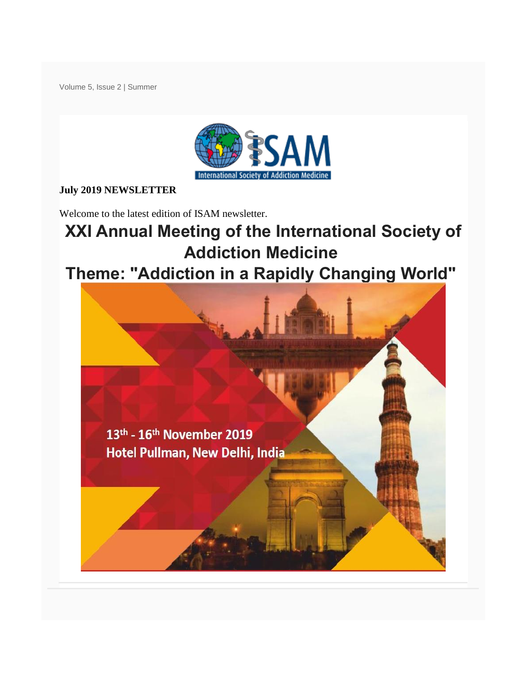Volume 5, Issue 2 | Summer



### **July 2019 NEWSLETTER**

Welcome to the latest edition of ISAM newsletter.

# **XXI Annual Meeting of the International Society of Addiction Medicine**

# **Theme: "Addiction in a Rapidly Changing World"**

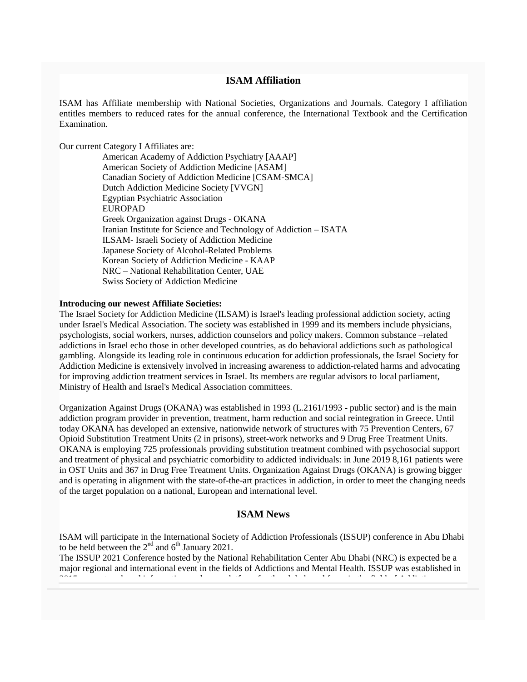#### **ISAM Affiliation**

ISAM has Affiliate membership with National Societies, Organizations and Journals. Category I affiliation entitles members to reduced rates for the annual conference, the International Textbook and the Certification Examination.

Our current Category I Affiliates are:

American Academy of Addiction Psychiatry [AAAP] American Society of Addiction Medicine [ASAM] Canadian Society of Addiction Medicine [CSAM-SMCA] Dutch Addiction Medicine Society [VVGN] Egyptian Psychiatric Association EUROPAD Greek Organization against Drugs - OKANA Iranian Institute for Science and Technology of Addiction – ISATA ILSAM- Israeli Society of Addiction Medicine Japanese Society of Alcohol-Related Problems Korean Society of Addiction Medicine - KAAP NRC – National Rehabilitation Center, UAE Swiss Society of Addiction Medicine

#### **Introducing our newest Affiliate Societies:**

The Israel Society for Addiction Medicine (ILSAM) is Israel's leading professional addiction society, acting under Israel's Medical Association. The society was established in 1999 and its members include physicians, psychologists, social workers, nurses, addiction counselors and policy makers. Common substance –related addictions in Israel echo those in other developed countries, as do behavioral addictions such as pathological gambling. Alongside its leading role in continuous education for addiction professionals, the Israel Society for Addiction Medicine is extensively involved in increasing awareness to addiction-related harms and advocating for improving addiction treatment services in Israel. Its members are regular advisors to local parliament, Ministry of Health and Israel's Medical Association committees.

Organization Against Drugs (OKANA) was established in 1993 (L.2161/1993 - public sector) and is the main addiction program provider in prevention, treatment, harm reduction and social reintegration in Greece. Until today OKANA has developed an extensive, nationwide network of structures with 75 Prevention Centers, 67 Opioid Substitution Treatment Units (2 in prisons), street-work networks and 9 Drug Free Treatment Units. OKANA is employing 725 professionals providing substitution treatment combined with psychosocial support and treatment of physical and psychiatric comorbidity to addicted individuals: in June 2019 8,161 patients were in OST Units and 367 in Drug Free Treatment Units. Organization Against Drugs (OKANA) is growing bigger and is operating in alignment with the state-of-the-art practices in addiction, in order to meet the changing needs of the target population on a national, European and international level.

#### **ISAM News**

ISAM will participate in the International Society of Addiction Professionals (ISSUP) conference in Abu Dhabi to be held between the  $2<sup>nd</sup>$  and  $6<sup>th</sup>$  January 2021.

The ISSUP 2021 Conference hosted by the National Rehabilitation Center Abu Dhabi (NRC) is expected be a major regional and international event in the fields of Addictions and Mental Health. ISSUP was established in 2015 as a network and information exchange platform for the global workforce in the field of Addictions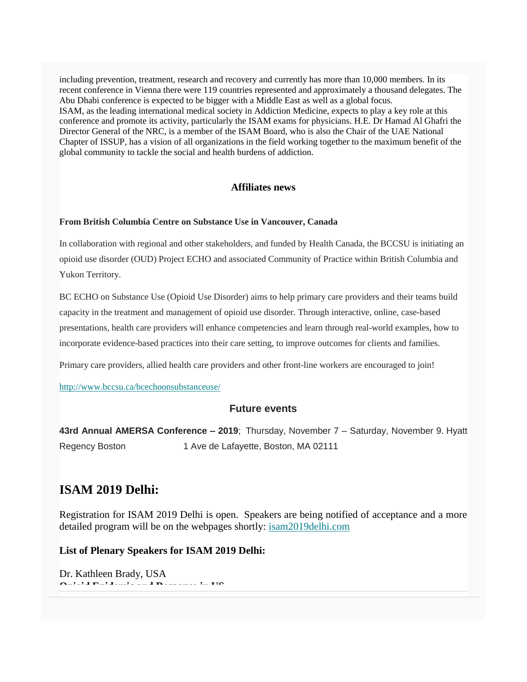including prevention, treatment, research and recovery and currently has more than 10,000 members. In its recent conference in Vienna there were 119 countries represented and approximately a thousand delegates. The Abu Dhabi conference is expected to be bigger with a Middle East as well as a global focus. ISAM, as the leading international medical society in Addiction Medicine, expects to play a key role at this conference and promote its activity, particularly the ISAM exams for physicians. H.E. Dr Hamad Al Ghafri the Director General of the NRC, is a member of the ISAM Board, who is also the Chair of the UAE National Chapter of ISSUP, has a vision of all organizations in the field working together to the maximum benefit of the global community to tackle the social and health burdens of addiction.

#### **Affiliates news**

#### **From British Columbia Centre on Substance Use in Vancouver, Canada**

In collaboration with regional and other stakeholders, and funded by Health Canada, the BCCSU is initiating an opioid use disorder (OUD) Project ECHO and associated Community of Practice within British Columbia and Yukon Territory.

BC ECHO on Substance Use (Opioid Use Disorder) aims to help primary care providers and their teams build capacity in the treatment and management of opioid use disorder. Through interactive, online, case-based presentations, health care providers will enhance competencies and learn through real-world examples, how to incorporate evidence-based practices into their care setting, to improve outcomes for clients and families.

Primary care providers, allied health care providers and other front-line workers are encouraged to join!

<http://www.bccsu.ca/bcechoonsubstanceuse/>

#### **Future events**

**43rd Annual AMERSA Conference – 2019**; Thursday, November 7 – Saturday, November 9. Hyatt Regency Boston 1 Ave de Lafayette, Boston, MA 02111

### **ISAM 2019 Delhi:**

Registration for ISAM 2019 Delhi is open. Speakers are being notified of acceptance and a more detailed program will be on the webpages shortly: [isam2019delhi.com](http://isam2019delhi.com/)

#### **List of Plenary Speakers for ISAM 2019 Delhi:**

Dr. Kathleen Brady, USA **Opioid Epidemic and Response in US**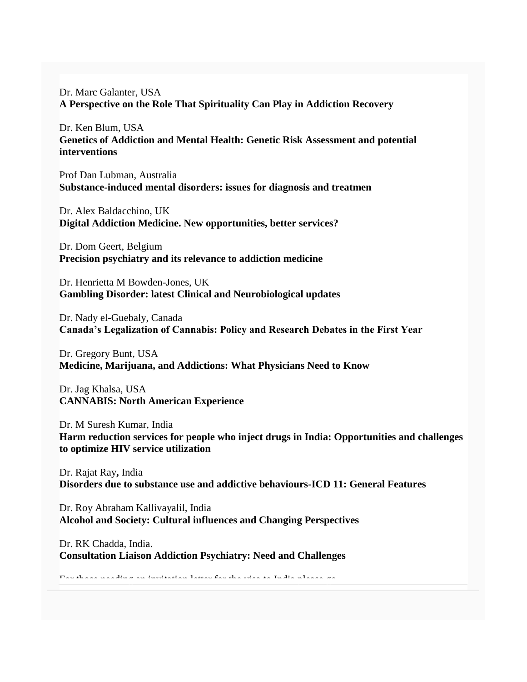Dr. Marc Galanter, USA **A Perspective on the Role That Spirituality Can Play in Addiction Recovery**

Dr. Ken Blum, USA **Genetics of Addiction and Mental Health: Genetic Risk Assessment and potential interventions**

Prof Dan Lubman, Australia **Substance-induced mental disorders: issues for diagnosis and treatmen**

Dr. Alex Baldacchino, UK **Digital Addiction Medicine. New opportunities, better services?**

Dr. Dom Geert, Belgium **Precision psychiatry and its relevance to addiction medicine**

Dr. Henrietta M Bowden-Jones, UK **Gambling Disorder: latest Clinical and Neurobiological updates**

Dr. Nady el-Guebaly, Canada **Canada's Legalization of Cannabis: Policy and Research Debates in the First Year**

Dr. Gregory Bunt, USA **Medicine, Marijuana, and Addictions: What Physicians Need to Know**

Dr. Jag Khalsa, USA **CANNABIS: North American Experience**

Dr. M Suresh Kumar, India **Harm reduction services for people who inject drugs in India: Opportunities and challenges to optimize HIV service utilization**

Dr. Rajat Ray**,** India **Disorders due to substance use and addictive behaviours-ICD 11: General Features**

Dr. Roy Abraham Kallivayalil, India **Alcohol and Society: Cultural influences and Changing Perspectives**

Dr. RK Chadda, India. **Consultation Liaison Addiction Psychiatry: Need and Challenges**

 $F$  those needs need and invitation letter for the visa to India please go india please go india please go india please go india please go india please go india please go india please go india please go india please go in